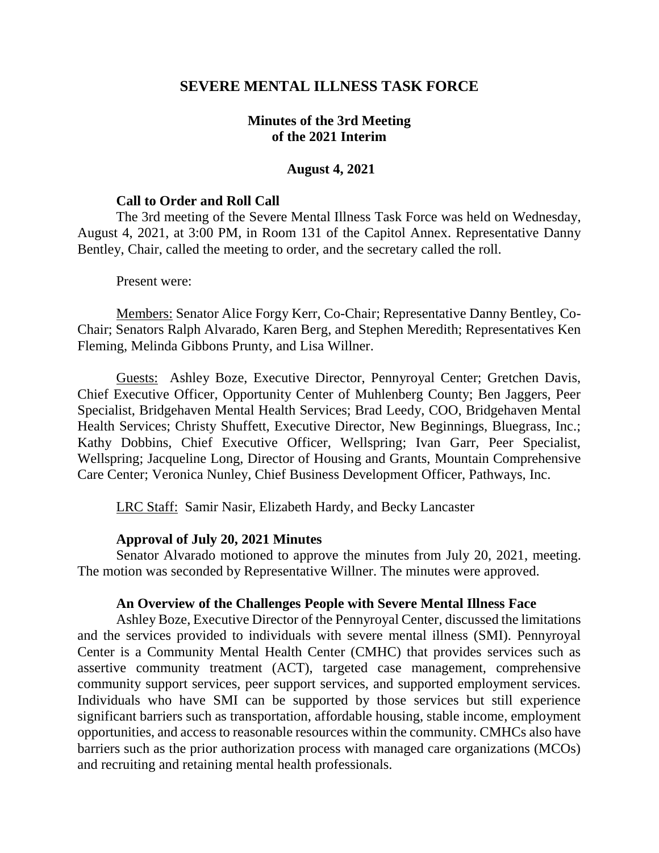## **SEVERE MENTAL ILLNESS TASK FORCE**

## **Minutes of the 3rd Meeting of the 2021 Interim**

### **August 4, 2021**

#### **Call to Order and Roll Call**

The 3rd meeting of the Severe Mental Illness Task Force was held on Wednesday, August 4, 2021, at 3:00 PM, in Room 131 of the Capitol Annex. Representative Danny Bentley, Chair, called the meeting to order, and the secretary called the roll.

#### Present were:

Members: Senator Alice Forgy Kerr, Co-Chair; Representative Danny Bentley, Co-Chair; Senators Ralph Alvarado, Karen Berg, and Stephen Meredith; Representatives Ken Fleming, Melinda Gibbons Prunty, and Lisa Willner.

Guests: Ashley Boze, Executive Director, Pennyroyal Center; Gretchen Davis, Chief Executive Officer, Opportunity Center of Muhlenberg County; Ben Jaggers, Peer Specialist, Bridgehaven Mental Health Services; Brad Leedy, COO, Bridgehaven Mental Health Services; Christy Shuffett, Executive Director, New Beginnings, Bluegrass, Inc.; Kathy Dobbins, Chief Executive Officer, Wellspring; Ivan Garr, Peer Specialist, Wellspring; Jacqueline Long, Director of Housing and Grants, Mountain Comprehensive Care Center; Veronica Nunley, Chief Business Development Officer, Pathways, Inc.

LRC Staff: Samir Nasir, Elizabeth Hardy, and Becky Lancaster

### **Approval of July 20, 2021 Minutes**

Senator Alvarado motioned to approve the minutes from July 20, 2021, meeting. The motion was seconded by Representative Willner. The minutes were approved.

### **An Overview of the Challenges People with Severe Mental Illness Face**

Ashley Boze, Executive Director of the Pennyroyal Center, discussed the limitations and the services provided to individuals with severe mental illness (SMI). Pennyroyal Center is a Community Mental Health Center (CMHC) that provides services such as assertive community treatment (ACT), targeted case management, comprehensive community support services, peer support services, and supported employment services. Individuals who have SMI can be supported by those services but still experience significant barriers such as transportation, affordable housing, stable income, employment opportunities, and access to reasonable resources within the community. CMHCs also have barriers such as the prior authorization process with managed care organizations (MCOs) and recruiting and retaining mental health professionals.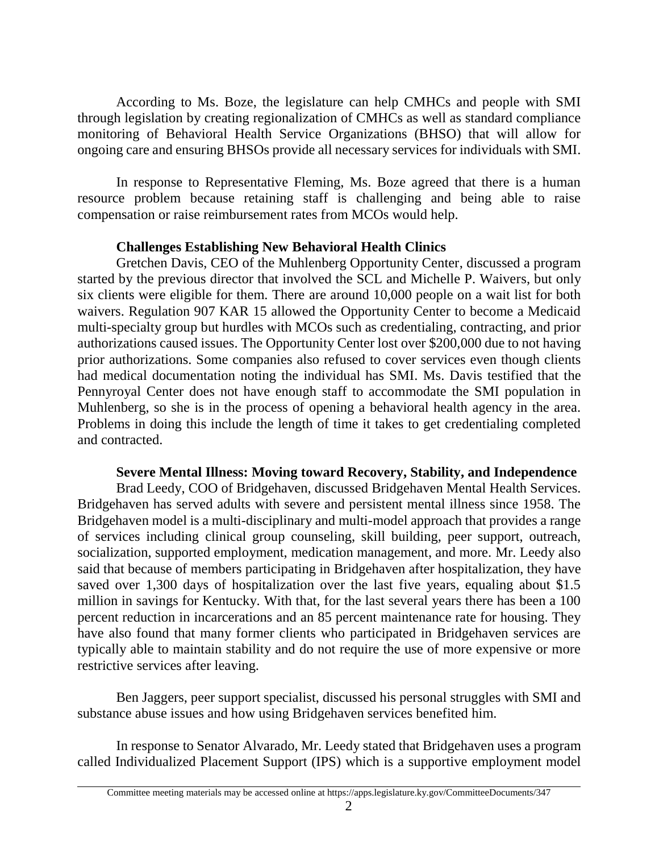According to Ms. Boze, the legislature can help CMHCs and people with SMI through legislation by creating regionalization of CMHCs as well as standard compliance monitoring of Behavioral Health Service Organizations (BHSO) that will allow for ongoing care and ensuring BHSOs provide all necessary services for individuals with SMI.

In response to Representative Fleming, Ms. Boze agreed that there is a human resource problem because retaining staff is challenging and being able to raise compensation or raise reimbursement rates from MCOs would help.

## **Challenges Establishing New Behavioral Health Clinics**

Gretchen Davis, CEO of the Muhlenberg Opportunity Center, discussed a program started by the previous director that involved the SCL and Michelle P. Waivers, but only six clients were eligible for them. There are around 10,000 people on a wait list for both waivers. Regulation 907 KAR 15 allowed the Opportunity Center to become a Medicaid multi-specialty group but hurdles with MCOs such as credentialing, contracting, and prior authorizations caused issues. The Opportunity Center lost over \$200,000 due to not having prior authorizations. Some companies also refused to cover services even though clients had medical documentation noting the individual has SMI. Ms. Davis testified that the Pennyroyal Center does not have enough staff to accommodate the SMI population in Muhlenberg, so she is in the process of opening a behavioral health agency in the area. Problems in doing this include the length of time it takes to get credentialing completed and contracted.

## **Severe Mental Illness: Moving toward Recovery, Stability, and Independence**

Brad Leedy, COO of Bridgehaven, discussed Bridgehaven Mental Health Services. Bridgehaven has served adults with severe and persistent mental illness since 1958. The Bridgehaven model is a multi-disciplinary and multi-model approach that provides a range of services including clinical group counseling, skill building, peer support, outreach, socialization, supported employment, medication management, and more. Mr. Leedy also said that because of members participating in Bridgehaven after hospitalization, they have saved over 1,300 days of hospitalization over the last five years, equaling about \$1.5 million in savings for Kentucky. With that, for the last several years there has been a 100 percent reduction in incarcerations and an 85 percent maintenance rate for housing. They have also found that many former clients who participated in Bridgehaven services are typically able to maintain stability and do not require the use of more expensive or more restrictive services after leaving.

Ben Jaggers, peer support specialist, discussed his personal struggles with SMI and substance abuse issues and how using Bridgehaven services benefited him.

In response to Senator Alvarado, Mr. Leedy stated that Bridgehaven uses a program called Individualized Placement Support (IPS) which is a supportive employment model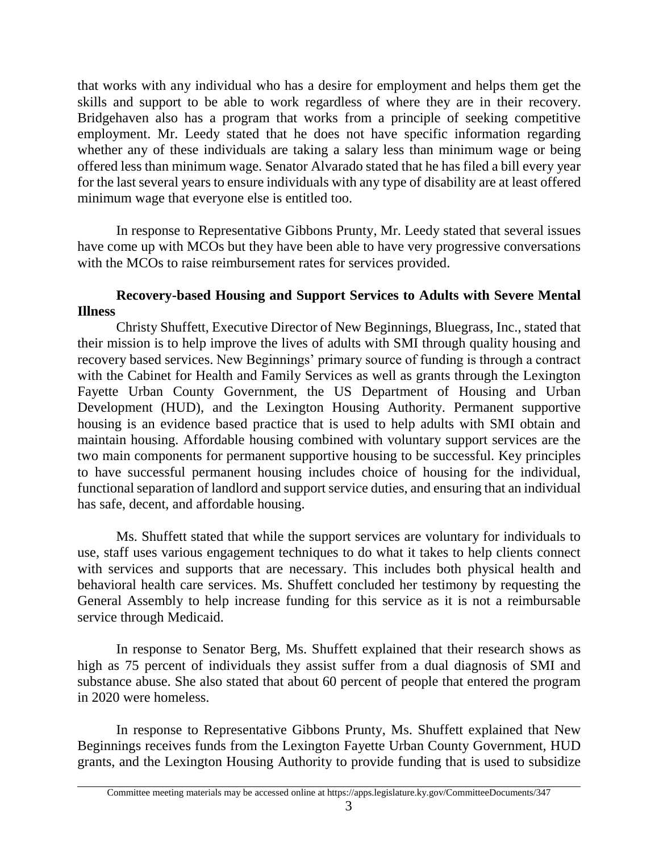that works with any individual who has a desire for employment and helps them get the skills and support to be able to work regardless of where they are in their recovery. Bridgehaven also has a program that works from a principle of seeking competitive employment. Mr. Leedy stated that he does not have specific information regarding whether any of these individuals are taking a salary less than minimum wage or being offered less than minimum wage. Senator Alvarado stated that he has filed a bill every year for the last several years to ensure individuals with any type of disability are at least offered minimum wage that everyone else is entitled too.

In response to Representative Gibbons Prunty, Mr. Leedy stated that several issues have come up with MCOs but they have been able to have very progressive conversations with the MCOs to raise reimbursement rates for services provided.

# **Recovery-based Housing and Support Services to Adults with Severe Mental Illness**

Christy Shuffett, Executive Director of New Beginnings, Bluegrass, Inc., stated that their mission is to help improve the lives of adults with SMI through quality housing and recovery based services. New Beginnings' primary source of funding is through a contract with the Cabinet for Health and Family Services as well as grants through the Lexington Fayette Urban County Government, the US Department of Housing and Urban Development (HUD), and the Lexington Housing Authority. Permanent supportive housing is an evidence based practice that is used to help adults with SMI obtain and maintain housing. Affordable housing combined with voluntary support services are the two main components for permanent supportive housing to be successful. Key principles to have successful permanent housing includes choice of housing for the individual, functional separation of landlord and support service duties, and ensuring that an individual has safe, decent, and affordable housing.

Ms. Shuffett stated that while the support services are voluntary for individuals to use, staff uses various engagement techniques to do what it takes to help clients connect with services and supports that are necessary. This includes both physical health and behavioral health care services. Ms. Shuffett concluded her testimony by requesting the General Assembly to help increase funding for this service as it is not a reimbursable service through Medicaid.

In response to Senator Berg, Ms. Shuffett explained that their research shows as high as 75 percent of individuals they assist suffer from a dual diagnosis of SMI and substance abuse. She also stated that about 60 percent of people that entered the program in 2020 were homeless.

In response to Representative Gibbons Prunty, Ms. Shuffett explained that New Beginnings receives funds from the Lexington Fayette Urban County Government, HUD grants, and the Lexington Housing Authority to provide funding that is used to subsidize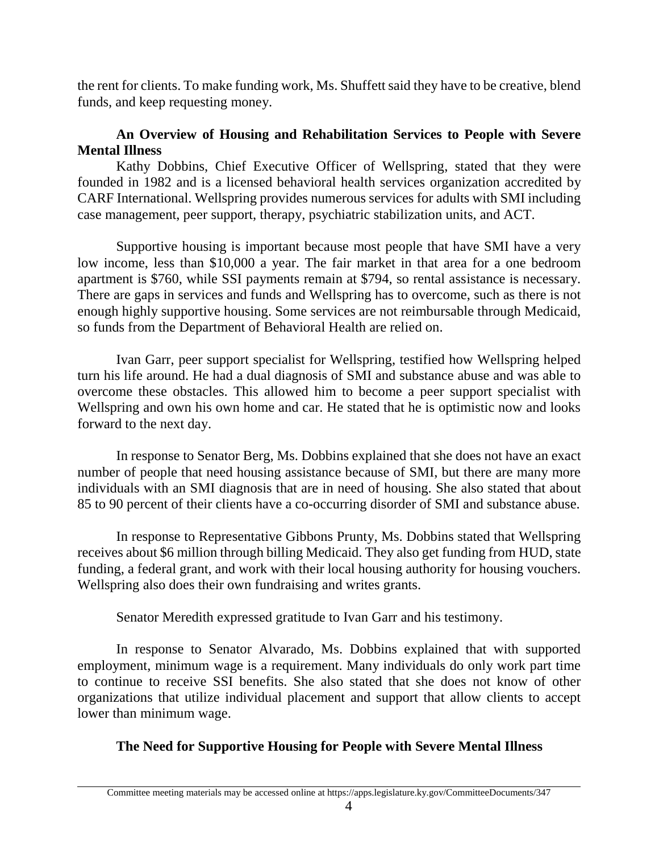the rent for clients. To make funding work, Ms. Shuffett said they have to be creative, blend funds, and keep requesting money.

# **An Overview of Housing and Rehabilitation Services to People with Severe Mental Illness**

Kathy Dobbins, Chief Executive Officer of Wellspring, stated that they were founded in 1982 and is a licensed behavioral health services organization accredited by CARF International. Wellspring provides numerous services for adults with SMI including case management, peer support, therapy, psychiatric stabilization units, and ACT.

Supportive housing is important because most people that have SMI have a very low income, less than \$10,000 a year. The fair market in that area for a one bedroom apartment is \$760, while SSI payments remain at \$794, so rental assistance is necessary. There are gaps in services and funds and Wellspring has to overcome, such as there is not enough highly supportive housing. Some services are not reimbursable through Medicaid, so funds from the Department of Behavioral Health are relied on.

Ivan Garr, peer support specialist for Wellspring, testified how Wellspring helped turn his life around. He had a dual diagnosis of SMI and substance abuse and was able to overcome these obstacles. This allowed him to become a peer support specialist with Wellspring and own his own home and car. He stated that he is optimistic now and looks forward to the next day.

In response to Senator Berg, Ms. Dobbins explained that she does not have an exact number of people that need housing assistance because of SMI, but there are many more individuals with an SMI diagnosis that are in need of housing. She also stated that about 85 to 90 percent of their clients have a co-occurring disorder of SMI and substance abuse.

In response to Representative Gibbons Prunty, Ms. Dobbins stated that Wellspring receives about \$6 million through billing Medicaid. They also get funding from HUD, state funding, a federal grant, and work with their local housing authority for housing vouchers. Wellspring also does their own fundraising and writes grants.

Senator Meredith expressed gratitude to Ivan Garr and his testimony.

In response to Senator Alvarado, Ms. Dobbins explained that with supported employment, minimum wage is a requirement. Many individuals do only work part time to continue to receive SSI benefits. She also stated that she does not know of other organizations that utilize individual placement and support that allow clients to accept lower than minimum wage.

# **The Need for Supportive Housing for People with Severe Mental Illness**